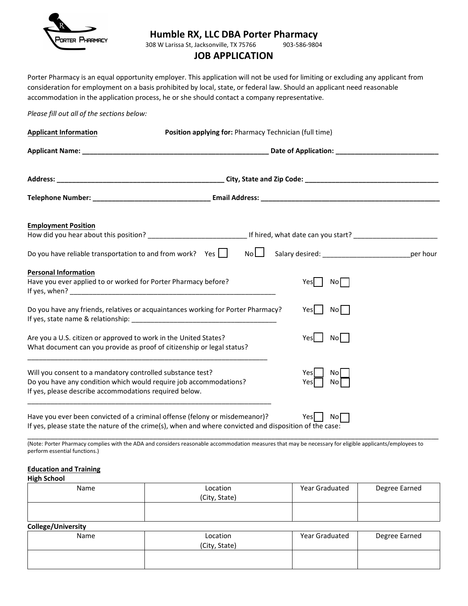

# **Humble RX, LLC DBA Porter Pharmacy**

308 W Larissa St, Jacksonville, TX 75766

# **JOB APPLICATION**

Porter Pharmacy is an equal opportunity employer. This application will not be used for limiting or excluding any applicant from consideration for employment on a basis prohibited by local, state, or federal law. Should an applicant need reasonable accommodation in the application process, he or she should contact a company representative.

## *Please fill out all of the sections below:*

| <b>Applicant Information</b>                                                                                                                                                              | Position applying for: Pharmacy Technician (full time)                                                                                                                                |                                                           |  |
|-------------------------------------------------------------------------------------------------------------------------------------------------------------------------------------------|---------------------------------------------------------------------------------------------------------------------------------------------------------------------------------------|-----------------------------------------------------------|--|
|                                                                                                                                                                                           |                                                                                                                                                                                       |                                                           |  |
|                                                                                                                                                                                           |                                                                                                                                                                                       |                                                           |  |
|                                                                                                                                                                                           |                                                                                                                                                                                       |                                                           |  |
| <b>Employment Position</b>                                                                                                                                                                |                                                                                                                                                                                       |                                                           |  |
|                                                                                                                                                                                           | Do you have reliable transportation to and from work? Yes $\Box$ No $\Box$                                                                                                            | Salary desired: _________________________________per hour |  |
| <b>Personal Information</b><br>Have you ever applied to or worked for Porter Pharmacy before?                                                                                             |                                                                                                                                                                                       | No<br>Yesl                                                |  |
|                                                                                                                                                                                           | Do you have any friends, relatives or acquaintances working for Porter Pharmacy?                                                                                                      | No  <br>Yesl                                              |  |
| Are you a U.S. citizen or approved to work in the United States?<br>What document can you provide as proof of citizenship or legal status?                                                |                                                                                                                                                                                       | Yesl  <br>No                                              |  |
| Will you consent to a mandatory controlled substance test?<br>Do you have any condition which would require job accommodations?<br>If yes, please describe accommodations required below. |                                                                                                                                                                                       | Yesl<br>No l<br>No l<br>Yes                               |  |
|                                                                                                                                                                                           | Have you ever been convicted of a criminal offense (felony or misdemeanor)?<br>If yes, please state the nature of the crime(s), when and where convicted and disposition of the case: | Yesl I<br>Nol                                             |  |

(Note: Porter Pharmacy complies with the ADA and considers reasonable accommodation measures that may be necessary for eligible applicants/employees to perform essential functions.)

\_\_\_\_\_\_\_\_\_\_\_\_\_\_\_\_\_\_\_\_\_\_\_\_\_\_\_\_\_\_\_\_\_\_\_\_\_\_\_\_\_\_\_\_\_\_\_\_\_\_\_\_\_\_\_\_\_\_\_\_\_\_\_\_\_\_\_\_\_\_\_\_\_\_\_\_\_\_\_\_\_\_\_\_\_\_\_\_\_\_\_\_\_\_\_\_\_\_\_\_\_\_\_\_\_\_\_\_

#### **Education and Training**

#### **High School**

| Name | Location<br>(City, State) | Year Graduated | Degree Earned |
|------|---------------------------|----------------|---------------|
|      |                           |                |               |

# **College/University**

| Name | Location<br>(City, State) | Year Graduated | Degree Earned |
|------|---------------------------|----------------|---------------|
|      |                           |                |               |